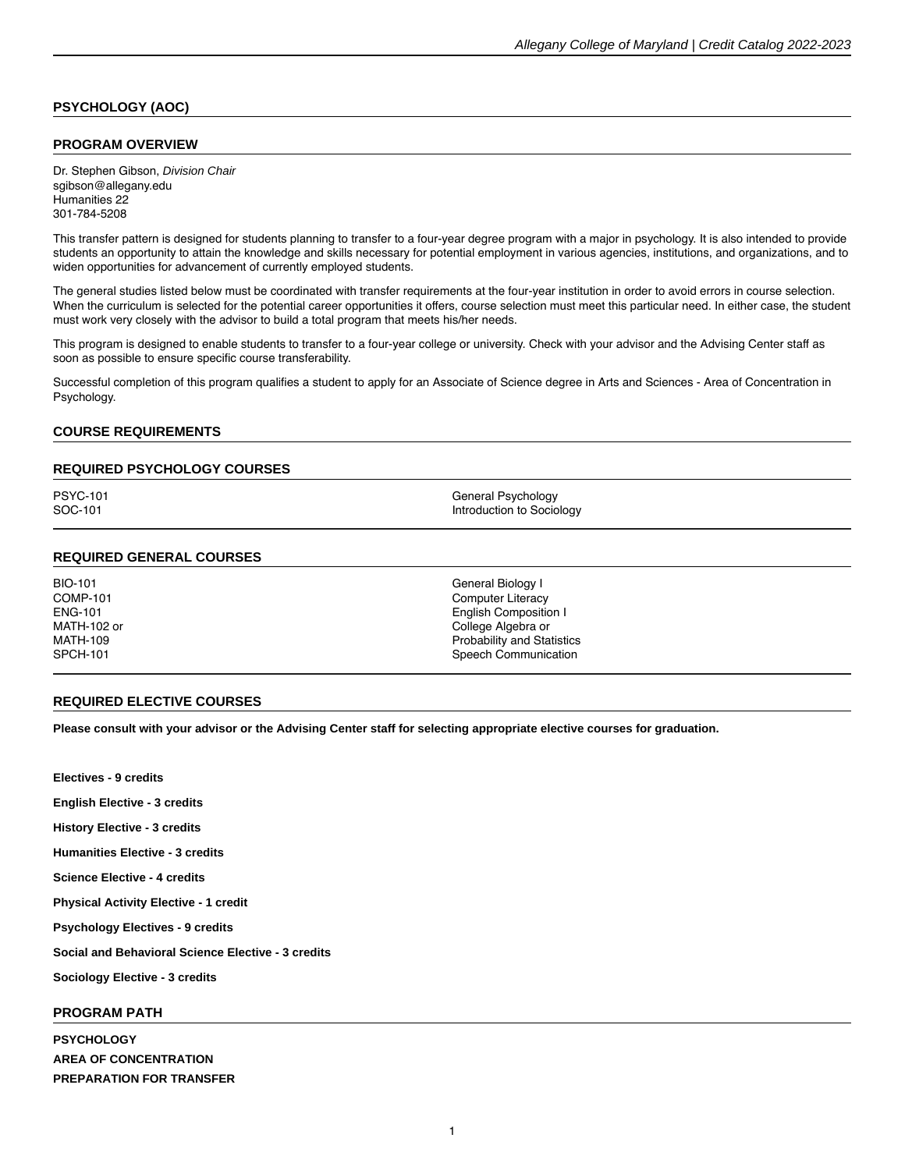# **PSYCHOLOGY (AOC)**

### **PROGRAM OVERVIEW**

Dr. Stephen Gibson, Division Chair sgibson@allegany.edu Humanities 22 301-784-5208

This transfer pattern is designed for students planning to transfer to a four-year degree program with a major in psychology. It is also intended to provide students an opportunity to attain the knowledge and skills necessary for potential employment in various agencies, institutions, and organizations, and to widen opportunities for advancement of currently employed students.

The general studies listed below must be coordinated with transfer requirements at the four-year institution in order to avoid errors in course selection. When the curriculum is selected for the potential career opportunities it offers, course selection must meet this particular need. In either case, the student must work very closely with the advisor to build a total program that meets his/her needs.

This program is designed to enable students to transfer to a four-year college or university. Check with your advisor and the Advising Center staff as soon as possible to ensure specific course transferability.

Successful completion of this program qualifies a student to apply for an Associate of Science degree in Arts and Sciences - Area of Concentration in Psychology.

## **COURSE REQUIREMENTS**

#### **REQUIRED PSYCHOLOGY COURSES**

PSYC-101 General Psychology<br>
SOC-101 General Psychology<br>
SOC-101 Introduction to Sociology

#### **REQUIRED GENERAL COURSES**

BIO-101 General Biology I<br>COMP-101 General Biology I COMP-101 Computer Literacy MATH-102 or MATH-109<br>SPCH-101

**English Composition I** College Algebra or Probability and Statistics Speech Communication

#### **REQUIRED ELECTIVE COURSES**

**Please consult with your advisor or the Advising Center staff for selecting appropriate [elective courses](https://catalog.allegany.edu/current/degrees-and-programs/academic-information.html#electives) for graduation.**

**Electives - 9 credits English Elective - 3 credits History Elective - 3 credits Humanities Elective - 3 credits Science Elective - 4 credits Physical Activity Elective - 1 credit Psychology Electives - 9 credits Social and Behavioral Science Elective - 3 credits Sociology Elective - 3 credits**

## **PROGRAM PATH**

**PSYCHOLOGY AREA OF CONCENTRATION PREPARATION FOR TRANSFER**